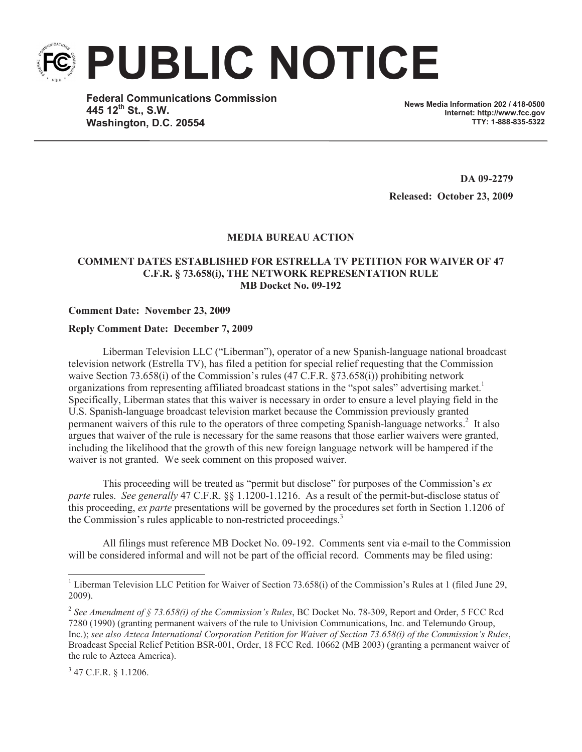**PUBLIC NOTICE**

**Federal Communications Commission 445 12th St., S.W. Washington, D.C. 20554**

**News Media Information 202 / 418-0500 Internet: http://www.fcc.gov TTY: 1-888-835-5322**

**DA 09-2279 Released: October 23, 2009**

## **MEDIA BUREAU ACTION**

## **COMMENT DATES ESTABLISHED FOR ESTRELLA TV PETITION FOR WAIVER OF 47 C.F.R. § 73.658(i), THE NETWORK REPRESENTATION RULE MB Docket No. 09-192**

## **Comment Date: November 23, 2009**

## **Reply Comment Date: December 7, 2009**

Liberman Television LLC ("Liberman"), operator of a new Spanish-language national broadcast television network (Estrella TV), has filed a petition for special relief requesting that the Commission waive Section 73.658(i) of the Commission's rules (47 C.F.R. §73.658(i)) prohibiting network organizations from representing affiliated broadcast stations in the "spot sales" advertising market.<sup>1</sup> Specifically, Liberman states that this waiver is necessary in order to ensure a level playing field in the U.S. Spanish-language broadcast television market because the Commission previously granted permanent waivers of this rule to the operators of three competing Spanish-language networks.<sup>2</sup> It also argues that waiver of the rule is necessary for the same reasons that those earlier waivers were granted, including the likelihood that the growth of this new foreign language network will be hampered if the waiver is not granted. We seek comment on this proposed waiver.

This proceeding will be treated as "permit but disclose" for purposes of the Commission's *ex parte* rules. *See generally* 47 C.F.R. §§ 1.1200-1.1216. As a result of the permit-but-disclose status of this proceeding, *ex parte* presentations will be governed by the procedures set forth in Section 1.1206 of the Commission's rules applicable to non-restricted proceedings.<sup>3</sup>

All filings must reference MB Docket No. 09-192. Comments sent via e-mail to the Commission will be considered informal and will not be part of the official record. Comments may be filed using:

<sup>&</sup>lt;sup>1</sup> Liberman Television LLC Petition for Waiver of Section 73.658(i) of the Commission's Rules at 1 (filed June 29, 2009).

<sup>2</sup> *See Amendment of § 73.658(i) of the Commission's Rules*, BC Docket No. 78-309, Report and Order, 5 FCC Rcd 7280 (1990) (granting permanent waivers of the rule to Univision Communications, Inc. and Telemundo Group, Inc.); *see also Azteca International Corporation Petition for Waiver of Section 73.658(i) of the Commission's Rules*, Broadcast Special Relief Petition BSR-001, Order, 18 FCC Rcd. 10662 (MB 2003) (granting a permanent waiver of the rule to Azteca America).

 $3$  47 C.F.R. § 1.1206.